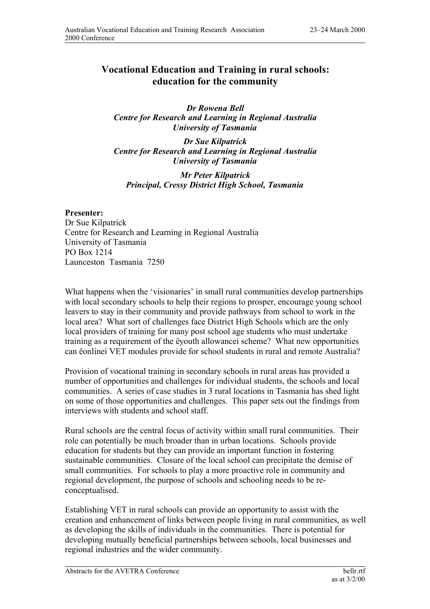## **Vocational Education and Training in rural schools: education for the community**

*Dr Rowena Bell Centre for Research and Learning in Regional Australia University of Tasmania*

*Dr Sue Kilpatrick Centre for Research and Learning in Regional Australia University of Tasmania*

*Mr Peter Kilpatrick Principal, Cressy District High School, Tasmania*

## **Presenter:**

Dr Sue Kilpatrick Centre for Research and Learning in Regional Australia University of Tasmania PO Box 1214 Launceston Tasmania 7250

What happens when the 'visionaries' in small rural communities develop partnerships with local secondary schools to help their regions to prosper, encourage young school leavers to stay in their community and provide pathways from school to work in the local area? What sort of challenges face District High Schools which are the only local providers of training for many post school age students who must undertake training as a requirement of the ëyouth allowanceí scheme? What new opportunities can ëonlineí VET modules provide for school students in rural and remote Australia?

Provision of vocational training in secondary schools in rural areas has provided a number of opportunities and challenges for individual students, the schools and local communities. A series of case studies in 3 rural locations in Tasmania has shed light on some of those opportunities and challenges. This paper sets out the findings from interviews with students and school staff.

Rural schools are the central focus of activity within small rural communities. Their role can potentially be much broader than in urban locations. Schools provide education for students but they can provide an important function in fostering sustainable communities. Closure of the local school can precipitate the demise of small communities. For schools to play a more proactive role in community and regional development, the purpose of schools and schooling needs to be reconceptualised.

Establishing VET in rural schools can provide an opportunity to assist with the creation and enhancement of links between people living in rural communities, as well as developing the skills of individuals in the communities. There is potential for developing mutually beneficial partnerships between schools, local businesses and regional industries and the wider community.